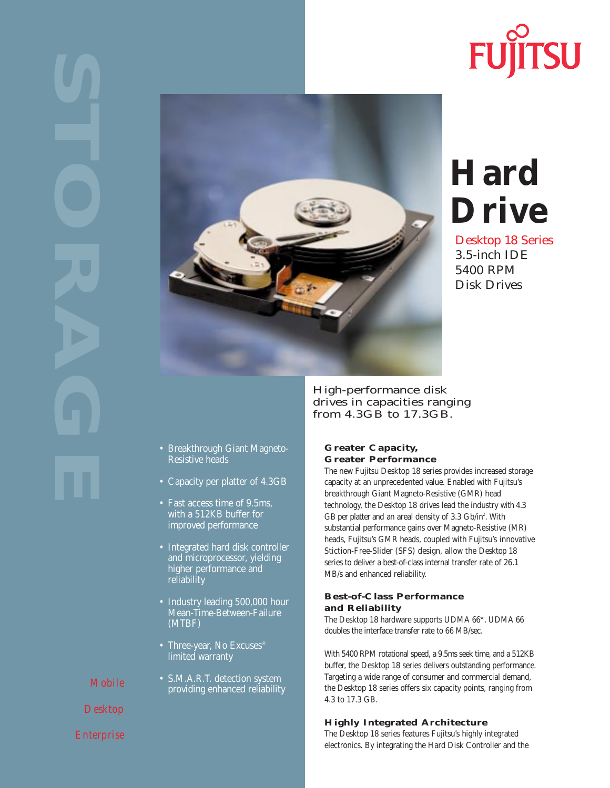# **FUJITSU**



## **Hard Drive**

Desktop 18 Series 3.5-inch IDE 5400 RPM Disk Drives

High-performance disk drives in capacities ranging from 4.3GB to 17.3GB.

**Greater Capacity, Greater Performance**

- Breakthrough Giant Magneto-Resistive heads
- Capacity per platter of 4.3GB
- Fast access time of 9.5ms, with a 512KB buffer for improved performance
- Integrated hard disk controller and microprocessor, yielding higher performance and reliability
- Industry leading 500,000 hour Mean-Time-Between-Failure (MTBF)
- Three-year, No Excuses® limited warranty
- S.M.A.R.T. detection system providing enhanced reliability

#### Stiction-Free-Slider (SFS) design, allow the Desktop 18 series to deliver a best-of-class internal transfer rate of 26.1 MB/s and enhanced reliability.

#### **Best-of-Class Performance and Reliability**

The Desktop 18 hardware supports UDMA 66\*. UDMA 66 doubles the interface transfer rate to 66 MB/sec.

The new Fujitsu Desktop 18 series provides increased storage capacity at an unprecedented value. Enabled with Fujitsu's breakthrough Giant Magneto-Resistive (GMR) head technology, the Desktop 18 drives lead the industry with 4.3 GB per platter and an areal density of 3.3 Gb/in<sup>2</sup>. With substantial performance gains over Magneto-Resistive (MR) heads, Fujitsu's GMR heads, coupled with Fujitsu's innovative

With 5400 RPM rotational speed, a 9.5ms seek time, and a 512KB buffer, the Desktop 18 series delivers outstanding performance. Targeting a wide range of consumer and commercial demand, the Desktop 18 series offers six capacity points, ranging from 4.3 to 17.3 GB.

### **Highly Integrated Architecture**

The Desktop 18 series features Fujitsu's highly integrated electronics. By integrating the Hard Disk Controller and the

*Mobile* 

*Desktop*

*Enterprise*